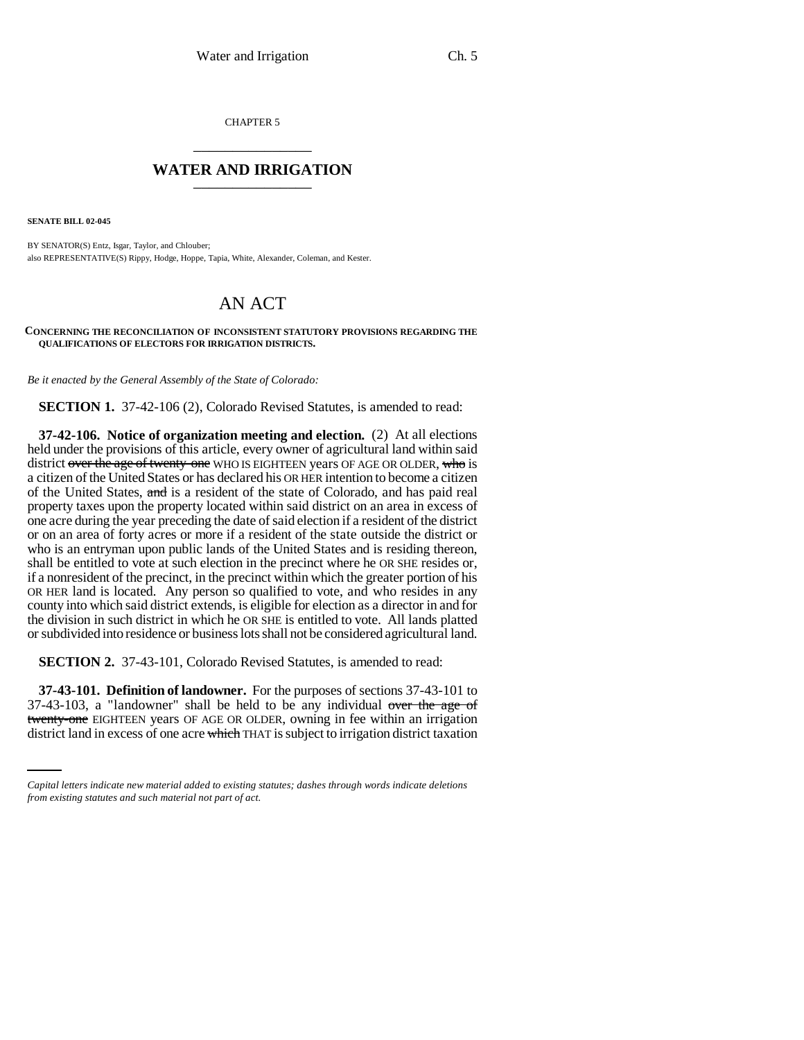CHAPTER 5 \_\_\_\_\_\_\_\_\_\_\_\_\_\_\_

## **WATER AND IRRIGATION** \_\_\_\_\_\_\_\_\_\_\_\_\_\_\_

**SENATE BILL 02-045**

BY SENATOR(S) Entz, Isgar, Taylor, and Chlouber; also REPRESENTATIVE(S) Rippy, Hodge, Hoppe, Tapia, White, Alexander, Coleman, and Kester.

## AN ACT

## **CONCERNING THE RECONCILIATION OF INCONSISTENT STATUTORY PROVISIONS REGARDING THE QUALIFICATIONS OF ELECTORS FOR IRRIGATION DISTRICTS.**

*Be it enacted by the General Assembly of the State of Colorado:*

**SECTION 1.** 37-42-106 (2), Colorado Revised Statutes, is amended to read:

**37-42-106. Notice of organization meeting and election.** (2) At all elections held under the provisions of this article, every owner of agricultural land within said district over the age of twenty-one WHO IS EIGHTEEN years OF AGE OR OLDER, who is a citizen of the United States or has declared his OR HER intention to become a citizen of the United States, and is a resident of the state of Colorado, and has paid real property taxes upon the property located within said district on an area in excess of one acre during the year preceding the date of said election if a resident of the district or on an area of forty acres or more if a resident of the state outside the district or who is an entryman upon public lands of the United States and is residing thereon, shall be entitled to vote at such election in the precinct where he OR SHE resides or, if a nonresident of the precinct, in the precinct within which the greater portion of his OR HER land is located. Any person so qualified to vote, and who resides in any county into which said district extends, is eligible for election as a director in and for the division in such district in which he OR SHE is entitled to vote. All lands platted or subdivided into residence or business lots shall not be considered agricultural land.

**SECTION 2.** 37-43-101, Colorado Revised Statutes, is amended to read:

37-43-103, a "landowner" shall be held to be any individual over the age of **37-43-101. Definition of landowner.** For the purposes of sections 37-43-101 to twenty-one EIGHTEEN years OF AGE OR OLDER, owning in fee within an irrigation district land in excess of one acre which THAT is subject to irrigation district taxation

*Capital letters indicate new material added to existing statutes; dashes through words indicate deletions from existing statutes and such material not part of act.*